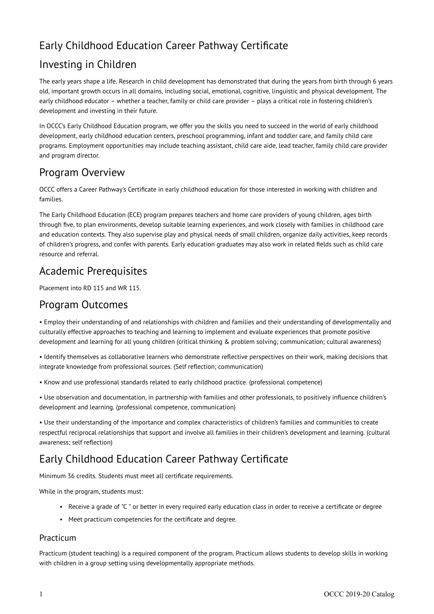# Early Childhood Education Career Pathway Certificate

# Investing in Children

The early years shape a life. Research in child development has demonstrated that during the years from birth through 6 years old, important growth occurs in all domains, including social, emotional, cognitive, linguistic and physical development. The early childhood educator – whether a teacher, family or child care provider – plays a critical role in fostering children's development and investing in their future.

In OCCC's Early Childhood Education program, we offer you the skills you need to succeed in the world of early childhood development, early childhood education centers, preschool programming, infant and toddler care, and family child care programs. Employment opportunities may include teaching assistant, child care aide, lead teacher, family child care provider and program director.

## Program Overview

OCCC offers a Career Pathway's Certificate in early childhood education for those interested in working with children and families.

The Early Childhood Education (ECE) program prepares teachers and home care providers of young children, ages birth through five, to plan environments, develop suitable learning experiences, and work closely with families in childhood care and education contexts. They also supervise play and physical needs of small children, organize daily activities, keep records of children's progress, and confer with parents. Early education graduates may also work in related fields such as child care resource and referral.

### Academic Prerequisites

Placement into RD 115 and WR 115.

### Program Outcomes

• Employ their understanding of and relationships with children and families and their understanding of developmentally and culturally effective approaches to teaching and learning to implement and evaluate experiences that promote positive development and learning for all young children (critical thinking & problem solving; communication; cultural awareness)

• Identify themselves as collaborative learners who demonstrate reflective perspectives on their work, making decisions that integrate knowledge from professional sources. (Self reflection; communication)

• Know and use professional standards related to early childhood practice. (professional competence)

• Use observation and documentation, in partnership with families and other professionals, to positively influence children's development and learning. (professional competence, communication)

• Use their understanding of the importance and complex characteristics of children's families and communities to create respectful reciprocal relationships that support and involve all families in their children's development and learning. (cultural awareness; self reflection)

## Early Childhood Education Career Pathway Certificate

Minimum 36 credits. Students must meet all certificate requirements.

While in the program, students must:

- Receive a grade of "C " or better in every required early education class in order to receive a certificate or degree
- Meet practicum competencies for the certificate and degree.

#### Practicum

Practicum (student teaching) is a required component of the program. Practicum allows students to develop skills in working with children in a group setting using developmentally appropriate methods.